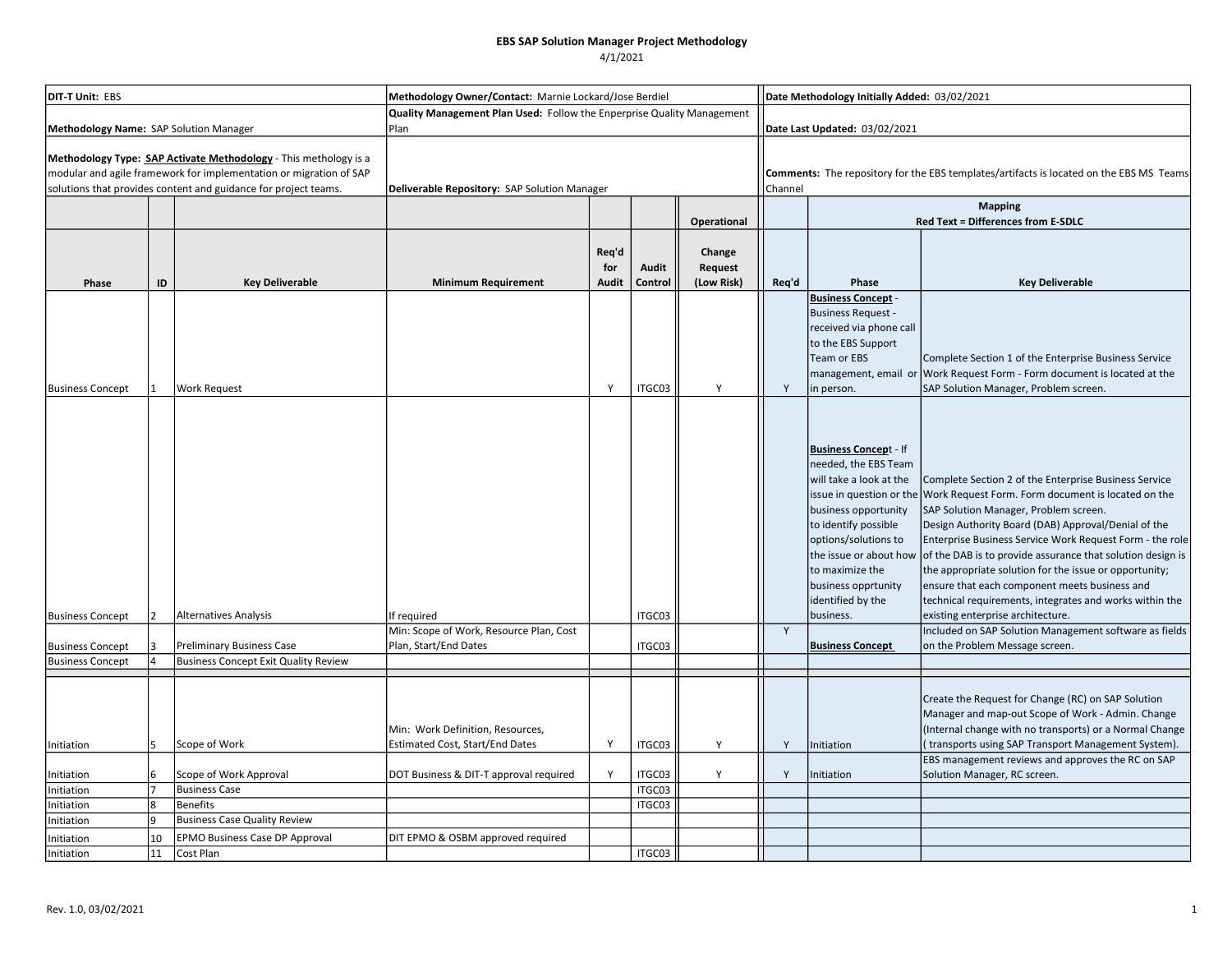### EBS SAP Solution Manager Project Methodology

4/1/2021

| <b>DIT-T Unit: EBS</b>                                                                                                                                                                                    |                |                                       | Methodology Owner/Contact: Marnie Lockard/Jose Berdiel                 |                       |                  |                                 |       | Date Methodology Initially Added: 03/02/2021                                                                                                                                                                                                                  |                                                                                                                                                                                                                                                                                                                                                                                                                                                                                                                                                                           |  |  |  |
|-----------------------------------------------------------------------------------------------------------------------------------------------------------------------------------------------------------|----------------|---------------------------------------|------------------------------------------------------------------------|-----------------------|------------------|---------------------------------|-------|---------------------------------------------------------------------------------------------------------------------------------------------------------------------------------------------------------------------------------------------------------------|---------------------------------------------------------------------------------------------------------------------------------------------------------------------------------------------------------------------------------------------------------------------------------------------------------------------------------------------------------------------------------------------------------------------------------------------------------------------------------------------------------------------------------------------------------------------------|--|--|--|
|                                                                                                                                                                                                           |                |                                       | Quality Management Plan Used: Follow the Enperprise Quality Management |                       |                  |                                 |       |                                                                                                                                                                                                                                                               |                                                                                                                                                                                                                                                                                                                                                                                                                                                                                                                                                                           |  |  |  |
| Methodology Name: SAP Solution Manager                                                                                                                                                                    |                |                                       | Plan                                                                   |                       |                  |                                 |       | Date Last Updated: 03/02/2021                                                                                                                                                                                                                                 |                                                                                                                                                                                                                                                                                                                                                                                                                                                                                                                                                                           |  |  |  |
| Methodology Type: SAP Activate Methodology - This methology is a<br>modular and agile framework for implementation or migration of SAP<br>solutions that provides content and guidance for project teams. |                |                                       | Deliverable Repository: SAP Solution Manager                           |                       |                  |                                 |       | Comments: The repository for the EBS templates/artifacts is located on the EBS MS Teams<br>Channel                                                                                                                                                            |                                                                                                                                                                                                                                                                                                                                                                                                                                                                                                                                                                           |  |  |  |
|                                                                                                                                                                                                           |                |                                       |                                                                        |                       |                  |                                 |       | <b>Mapping</b>                                                                                                                                                                                                                                                |                                                                                                                                                                                                                                                                                                                                                                                                                                                                                                                                                                           |  |  |  |
|                                                                                                                                                                                                           |                |                                       |                                                                        |                       |                  | <b>Operational</b>              |       |                                                                                                                                                                                                                                                               | <b>Red Text = Differences from E-SDLC</b>                                                                                                                                                                                                                                                                                                                                                                                                                                                                                                                                 |  |  |  |
| Phase                                                                                                                                                                                                     | ID             | <b>Key Deliverable</b>                | <b>Minimum Requirement</b>                                             | Req'd<br>for<br>Audit | Audit<br>Control | Change<br>Request<br>(Low Risk) | Req'd | <b>Key Deliverable</b>                                                                                                                                                                                                                                        |                                                                                                                                                                                                                                                                                                                                                                                                                                                                                                                                                                           |  |  |  |
| <b>Business Concept</b>                                                                                                                                                                                   |                | <b>Work Request</b>                   |                                                                        | Y                     | ITGC03           | Y                               | Y     | <b>Business Concept -</b><br><b>Business Request -</b><br>received via phone call<br>to the EBS Support<br>Team or EBS<br>in person.                                                                                                                          | Complete Section 1 of the Enterprise Business Service<br>management, email or Work Request Form - Form document is located at the<br>SAP Solution Manager, Problem screen.                                                                                                                                                                                                                                                                                                                                                                                                |  |  |  |
| <b>Business Concept</b>                                                                                                                                                                                   | $\overline{2}$ | <b>Alternatives Analysis</b>          | If required                                                            |                       | ITGC03           |                                 |       | <b>Business Concept - If</b><br>needed, the EBS Team<br>will take a look at the<br>business opportunity<br>to identify possible<br>options/solutions to<br>the issue or about how<br>to maximize the<br>business opprtunity<br>identified by the<br>business. | Complete Section 2 of the Enterprise Business Service<br>issue in question or the Work Request Form. Form document is located on the<br>SAP Solution Manager, Problem screen.<br>Design Authority Board (DAB) Approval/Denial of the<br>Enterprise Business Service Work Request Form - the role<br>of the DAB is to provide assurance that solution design is<br>the appropriate solution for the issue or opportunity;<br>ensure that each component meets business and<br>technical requirements, integrates and works within the<br>existing enterprise architecture. |  |  |  |
|                                                                                                                                                                                                           |                |                                       | Min: Scope of Work, Resource Plan, Cost                                |                       |                  |                                 | Y     |                                                                                                                                                                                                                                                               | Included on SAP Solution Management software as fields                                                                                                                                                                                                                                                                                                                                                                                                                                                                                                                    |  |  |  |
| <b>Business Concept</b>                                                                                                                                                                                   |                | <b>Preliminary Business Case</b>      | Plan, Start/End Dates                                                  |                       | ITGC03           |                                 |       | <b>Business Concept</b>                                                                                                                                                                                                                                       | on the Problem Message screen.                                                                                                                                                                                                                                                                                                                                                                                                                                                                                                                                            |  |  |  |
| <b>Business Concept</b>                                                                                                                                                                                   | $\Delta$       | Business Concept Exit Quality Review  |                                                                        |                       |                  |                                 |       |                                                                                                                                                                                                                                                               |                                                                                                                                                                                                                                                                                                                                                                                                                                                                                                                                                                           |  |  |  |
| Initiation                                                                                                                                                                                                | 5              | Scope of Work                         | Min: Work Definition, Resources,<br>Estimated Cost, Start/End Dates    | Y                     | ITGC03           | Y                               | Y     | Initiation                                                                                                                                                                                                                                                    | Create the Request for Change (RC) on SAP Solution<br>Manager and map-out Scope of Work - Admin. Change<br>(Internal change with no transports) or a Normal Change<br>transports using SAP Transport Management System).<br>EBS management reviews and approves the RC on SAP                                                                                                                                                                                                                                                                                             |  |  |  |
| Initiation                                                                                                                                                                                                | 6              | Scope of Work Approval                | DOT Business & DIT-T approval required                                 | Y                     | ITGC03           | Y                               | Y     | Initiation                                                                                                                                                                                                                                                    | Solution Manager, RC screen.                                                                                                                                                                                                                                                                                                                                                                                                                                                                                                                                              |  |  |  |
| Initiation                                                                                                                                                                                                |                | <b>Business Case</b>                  |                                                                        |                       | ITGC03           |                                 |       |                                                                                                                                                                                                                                                               |                                                                                                                                                                                                                                                                                                                                                                                                                                                                                                                                                                           |  |  |  |
| Initiation                                                                                                                                                                                                | $\overline{8}$ | <b>Benefits</b>                       |                                                                        |                       | ITGC03           |                                 |       |                                                                                                                                                                                                                                                               |                                                                                                                                                                                                                                                                                                                                                                                                                                                                                                                                                                           |  |  |  |
| Initiation                                                                                                                                                                                                | $\mathbf{q}$   | <b>Business Case Quality Review</b>   |                                                                        |                       |                  |                                 |       |                                                                                                                                                                                                                                                               |                                                                                                                                                                                                                                                                                                                                                                                                                                                                                                                                                                           |  |  |  |
| Initiation                                                                                                                                                                                                | 10             | <b>EPMO Business Case DP Approval</b> | DIT EPMO & OSBM approved required                                      |                       |                  |                                 |       |                                                                                                                                                                                                                                                               |                                                                                                                                                                                                                                                                                                                                                                                                                                                                                                                                                                           |  |  |  |
| Initiation                                                                                                                                                                                                | 11             | Cost Plan                             |                                                                        |                       | ITGC03           |                                 |       |                                                                                                                                                                                                                                                               |                                                                                                                                                                                                                                                                                                                                                                                                                                                                                                                                                                           |  |  |  |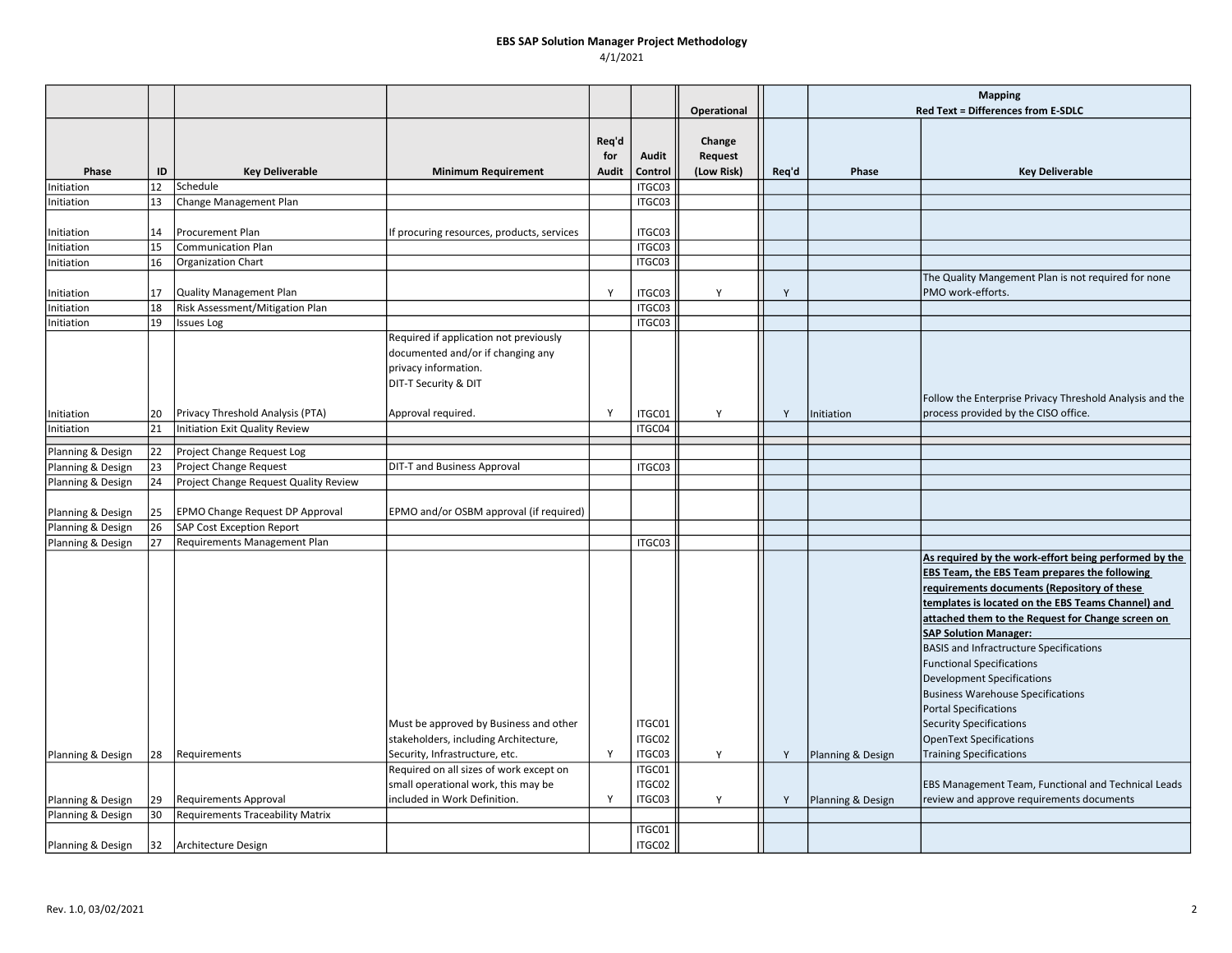# EBS SAP Solution Manager Project Methodology

4/1/2021

|                   |    |                                         |                                                                                                                                                                                                     |              |                                                |                   |       | <b>Mapping</b>    |                                                                                                                                                                                                                                                                                                                                                                                                                                                                                                                                                                                                                                                 |
|-------------------|----|-----------------------------------------|-----------------------------------------------------------------------------------------------------------------------------------------------------------------------------------------------------|--------------|------------------------------------------------|-------------------|-------|-------------------|-------------------------------------------------------------------------------------------------------------------------------------------------------------------------------------------------------------------------------------------------------------------------------------------------------------------------------------------------------------------------------------------------------------------------------------------------------------------------------------------------------------------------------------------------------------------------------------------------------------------------------------------------|
|                   |    |                                         |                                                                                                                                                                                                     |              |                                                | Operational       |       |                   | Red Text = Differences from E-SDLC                                                                                                                                                                                                                                                                                                                                                                                                                                                                                                                                                                                                              |
|                   |    |                                         |                                                                                                                                                                                                     | Req'd<br>for | Audit                                          | Change<br>Request |       |                   |                                                                                                                                                                                                                                                                                                                                                                                                                                                                                                                                                                                                                                                 |
| Phase             | ID | <b>Key Deliverable</b>                  | <b>Minimum Requirement</b>                                                                                                                                                                          | Audit        | Control                                        | (Low Risk)        | Req'd | Phase             | <b>Key Deliverable</b>                                                                                                                                                                                                                                                                                                                                                                                                                                                                                                                                                                                                                          |
| Initiation        | 12 | Schedule                                |                                                                                                                                                                                                     |              | ITGC03                                         |                   |       |                   |                                                                                                                                                                                                                                                                                                                                                                                                                                                                                                                                                                                                                                                 |
| Initiation        | 13 | Change Management Plan                  |                                                                                                                                                                                                     |              | ITGC03                                         |                   |       |                   |                                                                                                                                                                                                                                                                                                                                                                                                                                                                                                                                                                                                                                                 |
| Initiation        | 14 | Procurement Plan                        | f procuring resources, products, services                                                                                                                                                           |              | ITGC03                                         |                   |       |                   |                                                                                                                                                                                                                                                                                                                                                                                                                                                                                                                                                                                                                                                 |
| Initiation        | 15 | <b>Communication Plan</b>               |                                                                                                                                                                                                     |              | ITGC03                                         |                   |       |                   |                                                                                                                                                                                                                                                                                                                                                                                                                                                                                                                                                                                                                                                 |
| Initiation        | 16 | <b>Organization Chart</b>               |                                                                                                                                                                                                     |              | ITGC03                                         |                   |       |                   |                                                                                                                                                                                                                                                                                                                                                                                                                                                                                                                                                                                                                                                 |
| Initiation        | 17 | <b>Quality Management Plan</b>          |                                                                                                                                                                                                     | Y            | ITGC03                                         | Y                 | Y     |                   | The Quality Mangement Plan is not required for none<br>PMO work-efforts.                                                                                                                                                                                                                                                                                                                                                                                                                                                                                                                                                                        |
| Initiation        | 18 | Risk Assessment/Mitigation Plan         |                                                                                                                                                                                                     |              | ITGC03                                         |                   |       |                   |                                                                                                                                                                                                                                                                                                                                                                                                                                                                                                                                                                                                                                                 |
| Initiation        | 19 | <b>Issues Log</b>                       |                                                                                                                                                                                                     |              | ITGC03                                         |                   |       |                   |                                                                                                                                                                                                                                                                                                                                                                                                                                                                                                                                                                                                                                                 |
|                   |    |                                         | Required if application not previously<br>documented and/or if changing any<br>privacy information.<br>DIT-T Security & DIT                                                                         |              |                                                |                   |       |                   | Follow the Enterprise Privacy Threshold Analysis and the                                                                                                                                                                                                                                                                                                                                                                                                                                                                                                                                                                                        |
| Initiation        | 20 | Privacy Threshold Analysis (PTA)        | Approval required.                                                                                                                                                                                  | Y            | ITGC01                                         | Y                 | Y     | Initiation        | process provided by the CISO office.                                                                                                                                                                                                                                                                                                                                                                                                                                                                                                                                                                                                            |
| Initiation        | 21 | Initiation Exit Quality Review          |                                                                                                                                                                                                     |              | ITGC04                                         |                   |       |                   |                                                                                                                                                                                                                                                                                                                                                                                                                                                                                                                                                                                                                                                 |
| Planning & Design | 22 | Project Change Request Log              |                                                                                                                                                                                                     |              |                                                |                   |       |                   |                                                                                                                                                                                                                                                                                                                                                                                                                                                                                                                                                                                                                                                 |
| Planning & Design | 23 | <b>Project Change Request</b>           | <b>DIT-T and Business Approval</b>                                                                                                                                                                  |              | ITGC03                                         |                   |       |                   |                                                                                                                                                                                                                                                                                                                                                                                                                                                                                                                                                                                                                                                 |
| Planning & Design | 24 | Project Change Request Quality Review   |                                                                                                                                                                                                     |              |                                                |                   |       |                   |                                                                                                                                                                                                                                                                                                                                                                                                                                                                                                                                                                                                                                                 |
| Planning & Design | 25 | EPMO Change Request DP Approval         | EPMO and/or OSBM approval (if required)                                                                                                                                                             |              |                                                |                   |       |                   |                                                                                                                                                                                                                                                                                                                                                                                                                                                                                                                                                                                                                                                 |
| Planning & Design | 26 | SAP Cost Exception Report               |                                                                                                                                                                                                     |              |                                                |                   |       |                   |                                                                                                                                                                                                                                                                                                                                                                                                                                                                                                                                                                                                                                                 |
| Planning & Design | 27 | <b>Requirements Management Plan</b>     |                                                                                                                                                                                                     |              | ITGC03                                         |                   |       |                   |                                                                                                                                                                                                                                                                                                                                                                                                                                                                                                                                                                                                                                                 |
| Planning & Design | 28 | Requirements                            | Must be approved by Business and other<br>stakeholders, including Architecture,<br>Security, Infrastructure, etc.<br>Required on all sizes of work except on<br>small operational work, this may be | Y            | ITGC01<br>ITGC02<br>ITGC03<br>ITGC01<br>ITGC02 | Υ                 | Y     | Planning & Design | As required by the work-effort being performed by the<br>EBS Team, the EBS Team prepares the following<br>requirements documents (Repository of these<br>templates is located on the EBS Teams Channel) and<br>attached them to the Request for Change screen on<br><b>SAP Solution Manager:</b><br><b>BASIS and Infractructure Specifications</b><br><b>Functional Specifications</b><br>Development Specifications<br><b>Business Warehouse Specifications</b><br>Portal Specifications<br>Security Specifications<br>OpenText Specifications<br><b>Training Specifications</b><br><b>EBS Management Team, Functional and Technical Leads</b> |
| Planning & Design | 29 | <b>Requirements Approval</b>            | included in Work Definition.                                                                                                                                                                        | Y            | ITGC03                                         | Y                 | Y     | Planning & Design | review and approve requirements documents                                                                                                                                                                                                                                                                                                                                                                                                                                                                                                                                                                                                       |
| Planning & Design | 30 | <b>Requirements Traceability Matrix</b> |                                                                                                                                                                                                     |              |                                                |                   |       |                   |                                                                                                                                                                                                                                                                                                                                                                                                                                                                                                                                                                                                                                                 |
| Planning & Design | 32 | Architecture Design                     |                                                                                                                                                                                                     |              | ITGC01<br>ITGC02                               |                   |       |                   |                                                                                                                                                                                                                                                                                                                                                                                                                                                                                                                                                                                                                                                 |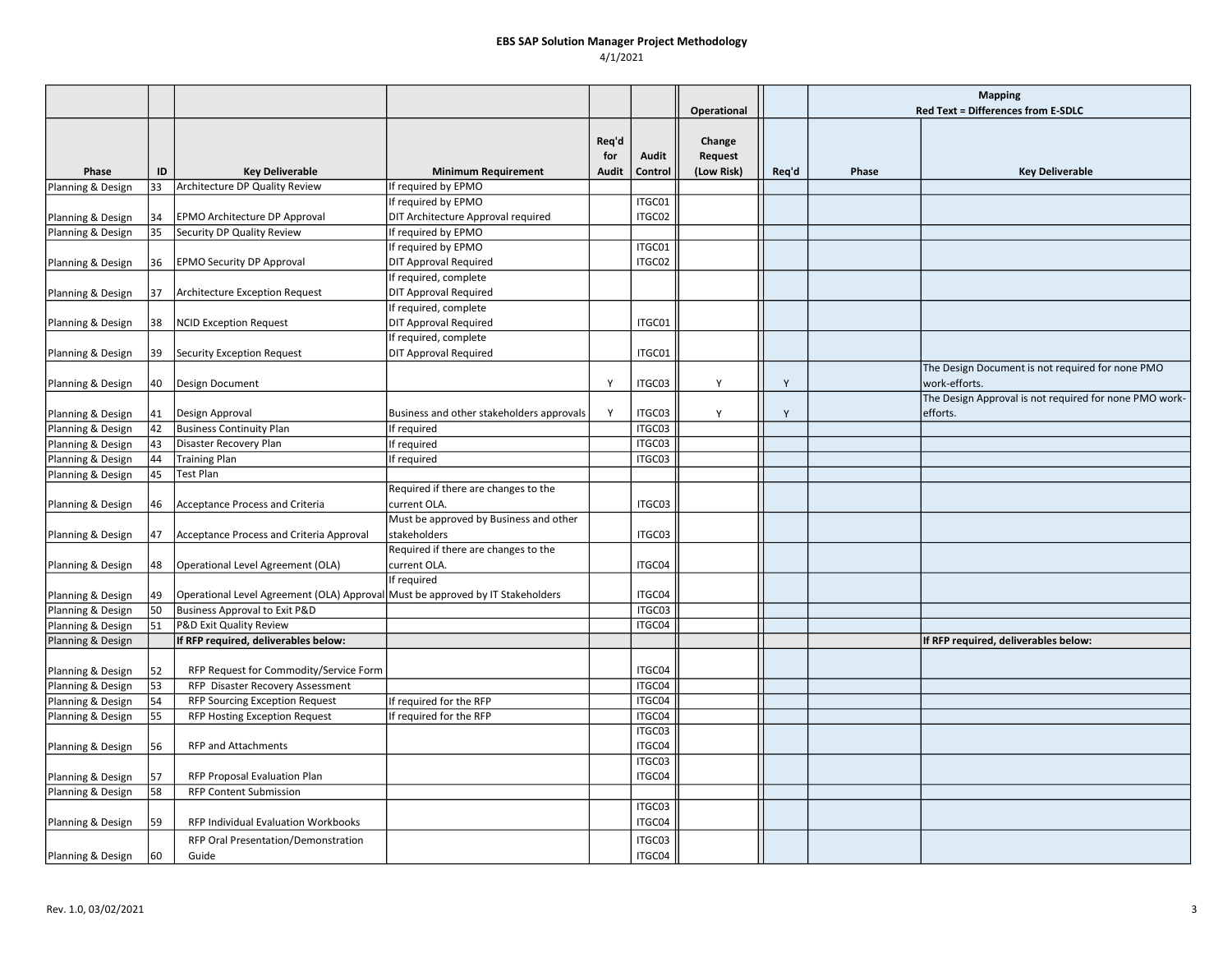### EBS SAP Solution Manager Project Methodology 4/1/2021

|                                        |    |                                                                                |                                           |       |         |             |       | <b>Mapping</b> |                                                        |
|----------------------------------------|----|--------------------------------------------------------------------------------|-------------------------------------------|-------|---------|-------------|-------|----------------|--------------------------------------------------------|
|                                        |    |                                                                                |                                           |       |         | Operational |       |                | <b>Red Text = Differences from E-SDLC</b>              |
|                                        |    |                                                                                |                                           | Req'd |         | Change      |       |                |                                                        |
|                                        |    |                                                                                |                                           | for   | Audit   | Request     |       |                |                                                        |
| Phase                                  | ID | <b>Key Deliverable</b>                                                         | <b>Minimum Requirement</b>                | Audit | Control | (Low Risk)  | Req'd | Phase          | <b>Key Deliverable</b>                                 |
| Planning & Design                      | 33 | Architecture DP Quality Review                                                 | If required by EPMO                       |       |         |             |       |                |                                                        |
|                                        |    |                                                                                | If required by EPMO                       |       | ITGC01  |             |       |                |                                                        |
| Planning & Design                      | 34 | EPMO Architecture DP Approval                                                  | DIT Architecture Approval required        |       | ITGC02  |             |       |                |                                                        |
| Planning & Design                      | 35 | Security DP Quality Review                                                     | If required by EPMO                       |       |         |             |       |                |                                                        |
|                                        |    |                                                                                | If required by EPMO                       |       | ITGC01  |             |       |                |                                                        |
| Planning & Design                      | 36 | <b>EPMO Security DP Approval</b>                                               | <b>DIT Approval Required</b>              |       | ITGC02  |             |       |                |                                                        |
|                                        |    |                                                                                | If required, complete                     |       |         |             |       |                |                                                        |
| Planning & Design                      | 37 | Architecture Exception Request                                                 | <b>DIT Approval Required</b>              |       |         |             |       |                |                                                        |
|                                        |    |                                                                                | If required, complete                     |       |         |             |       |                |                                                        |
| Planning & Design                      | 38 | <b>NCID Exception Request</b>                                                  | <b>DIT Approval Required</b>              |       | ITGC01  |             |       |                |                                                        |
|                                        |    |                                                                                | If required, complete                     |       |         |             |       |                |                                                        |
| Planning & Design                      | 39 | Security Exception Request                                                     | <b>DIT Approval Required</b>              |       | ITGC01  |             |       |                |                                                        |
|                                        |    |                                                                                |                                           |       |         |             |       |                | The Design Document is not required for none PMO       |
| Planning & Design                      | 40 | Design Document                                                                |                                           | Y     | ITGC03  | Y           | Y     |                | work-efforts.                                          |
|                                        |    |                                                                                |                                           |       |         |             |       |                | The Design Approval is not required for none PMO work- |
| Planning & Design                      | 41 | Design Approval                                                                | Business and other stakeholders approvals | Y     | ITGC03  | Υ           | Y     |                | efforts.                                               |
| Planning & Design                      | 42 | <b>Business Continuity Plan</b>                                                | If required                               |       | ITGC03  |             |       |                |                                                        |
| Planning & Design                      | 43 | Disaster Recovery Plan                                                         | If required                               |       | ITGC03  |             |       |                |                                                        |
| Planning & Design                      | 44 | <b>Training Plan</b>                                                           | If required                               |       | ITGC03  |             |       |                |                                                        |
| Planning & Design                      | 45 | <b>Test Plan</b>                                                               |                                           |       |         |             |       |                |                                                        |
|                                        |    |                                                                                | Required if there are changes to the      |       |         |             |       |                |                                                        |
| Planning & Design                      | 46 | Acceptance Process and Criteria                                                | current OLA.                              |       | ITGC03  |             |       |                |                                                        |
|                                        |    |                                                                                | Must be approved by Business and other    |       |         |             |       |                |                                                        |
| Planning & Design                      | 47 | Acceptance Process and Criteria Approval                                       | stakeholders                              |       | ITGC03  |             |       |                |                                                        |
|                                        |    |                                                                                | Required if there are changes to the      |       |         |             |       |                |                                                        |
| Planning & Design                      | 48 | Operational Level Agreement (OLA)                                              | current OLA.                              |       | ITGC04  |             |       |                |                                                        |
|                                        |    |                                                                                | If required                               |       |         |             |       |                |                                                        |
| Planning & Design                      | 49 | Operational Level Agreement (OLA) Approval Must be approved by IT Stakeholders |                                           |       | ITGC04  |             |       |                |                                                        |
| Planning & Design                      | 50 | Business Approval to Exit P&D                                                  |                                           |       | ITGC03  |             |       |                |                                                        |
| Planning & Design                      | 51 | P&D Exit Quality Review                                                        |                                           |       | ITGC04  |             |       |                |                                                        |
| Planning & Design                      |    | If RFP required, deliverables below:                                           |                                           |       |         |             |       |                | If RFP required, deliverables below:                   |
|                                        | 52 |                                                                                |                                           |       | ITGC04  |             |       |                |                                                        |
| Planning & Design<br>Planning & Design | 53 | RFP Request for Commodity/Service Form<br>RFP Disaster Recovery Assessment     |                                           |       | ITGC04  |             |       |                |                                                        |
| Planning & Design                      | 54 | <b>RFP Sourcing Exception Request</b>                                          | If required for the RFP                   |       | ITGC04  |             |       |                |                                                        |
| Planning & Design                      | 55 | RFP Hosting Exception Request                                                  | If required for the RFP                   |       | ITGC04  |             |       |                |                                                        |
|                                        |    |                                                                                |                                           |       | ITGC03  |             |       |                |                                                        |
| Planning & Design                      | 56 | <b>RFP and Attachments</b>                                                     |                                           |       | ITGC04  |             |       |                |                                                        |
|                                        |    |                                                                                |                                           |       | ITGC03  |             |       |                |                                                        |
| Planning & Design                      | 57 | RFP Proposal Evaluation Plan                                                   |                                           |       | ITGC04  |             |       |                |                                                        |
| Planning & Design                      | 58 | <b>RFP Content Submission</b>                                                  |                                           |       |         |             |       |                |                                                        |
|                                        |    |                                                                                |                                           |       | ITGC03  |             |       |                |                                                        |
| Planning & Design                      | 59 | <b>RFP Individual Evaluation Workbooks</b>                                     |                                           |       | ITGC04  |             |       |                |                                                        |
|                                        |    | RFP Oral Presentation/Demonstration                                            |                                           |       | ITGC03  |             |       |                |                                                        |
| Planning & Design                      | 60 | Guide                                                                          |                                           |       | ITGC04  |             |       |                |                                                        |
|                                        |    |                                                                                |                                           |       |         |             |       |                |                                                        |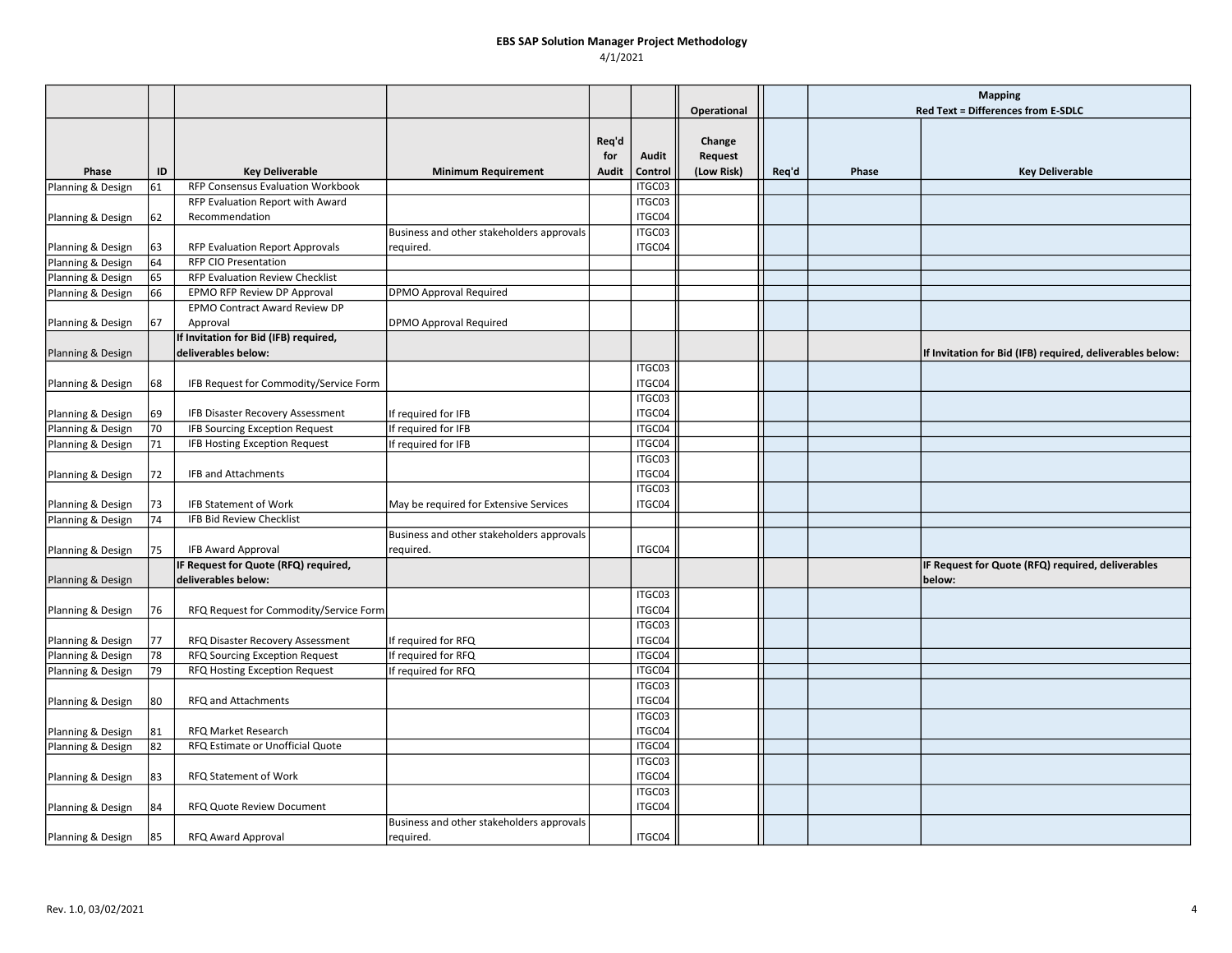## EBS SAP Solution Manager Project Methodology

4/1/2021

|                   |    |                                                              |                                           |       |                  |             |       | <b>Mapping</b> |                                                           |
|-------------------|----|--------------------------------------------------------------|-------------------------------------------|-------|------------------|-------------|-------|----------------|-----------------------------------------------------------|
|                   |    |                                                              |                                           |       |                  | Operational |       |                | Red Text = Differences from E-SDLC                        |
|                   |    |                                                              |                                           |       |                  |             |       |                |                                                           |
|                   |    |                                                              |                                           | Req'd |                  | Change      |       |                |                                                           |
|                   |    |                                                              |                                           | for   | Audit            | Request     |       |                |                                                           |
| Phase             | ID | <b>Key Deliverable</b>                                       | <b>Minimum Requirement</b>                | Audit | Control          | (Low Risk)  | Req'd | Phase          | <b>Key Deliverable</b>                                    |
| Planning & Design | 61 | RFP Consensus Evaluation Workbook                            |                                           |       | ITGC03           |             |       |                |                                                           |
|                   |    | RFP Evaluation Report with Award                             |                                           |       | ITGC03           |             |       |                |                                                           |
| Planning & Design | 62 | Recommendation                                               |                                           |       | ITGC04           |             |       |                |                                                           |
|                   |    |                                                              | Business and other stakeholders approvals |       | ITGC03           |             |       |                |                                                           |
| Planning & Design | 63 | <b>RFP Evaluation Report Approvals</b>                       | required.                                 |       | ITGC04           |             |       |                |                                                           |
| Planning & Design | 64 | <b>RFP CIO Presentation</b>                                  |                                           |       |                  |             |       |                |                                                           |
| Planning & Design | 65 | RFP Evaluation Review Checklist                              |                                           |       |                  |             |       |                |                                                           |
| Planning & Design | 66 | EPMO RFP Review DP Approval                                  | <b>DPMO Approval Required</b>             |       |                  |             |       |                |                                                           |
|                   | 67 | EPMO Contract Award Review DP<br>Approval                    | <b>DPMO Approval Required</b>             |       |                  |             |       |                |                                                           |
| Planning & Design |    |                                                              |                                           |       |                  |             |       |                |                                                           |
|                   |    | If Invitation for Bid (IFB) required,<br>deliverables below: |                                           |       |                  |             |       |                | If Invitation for Bid (IFB) required, deliverables below: |
| Planning & Design |    |                                                              |                                           |       | ITGC03           |             |       |                |                                                           |
| Planning & Design | 68 | IFB Request for Commodity/Service Form                       |                                           |       | ITGC04           |             |       |                |                                                           |
|                   |    |                                                              |                                           |       | ITGC03           |             |       |                |                                                           |
| Planning & Design | 69 | IFB Disaster Recovery Assessment                             | If required for IFB                       |       | ITGC04           |             |       |                |                                                           |
| Planning & Design | 70 | <b>IFB Sourcing Exception Request</b>                        | If required for IFB                       |       | ITGC04           |             |       |                |                                                           |
| Planning & Design | 71 | IFB Hosting Exception Request                                | If required for IFB                       |       | ITGC04           |             |       |                |                                                           |
|                   |    |                                                              |                                           |       | ITGC03           |             |       |                |                                                           |
| Planning & Design | 72 | <b>IFB and Attachments</b>                                   |                                           |       | ITGC04           |             |       |                |                                                           |
|                   |    |                                                              |                                           |       | ITGC03           |             |       |                |                                                           |
| Planning & Design | 73 | <b>IFB Statement of Work</b>                                 | May be required for Extensive Services    |       | ITGC04           |             |       |                |                                                           |
| Planning & Design | 74 | IFB Bid Review Checklist                                     |                                           |       |                  |             |       |                |                                                           |
|                   |    |                                                              | Business and other stakeholders approvals |       |                  |             |       |                |                                                           |
| Planning & Design | 75 | IFB Award Approval                                           | required.                                 |       | ITGC04           |             |       |                |                                                           |
|                   |    | IF Request for Quote (RFQ) required,                         |                                           |       |                  |             |       |                | IF Request for Quote (RFQ) required, deliverables         |
| Planning & Design |    | deliverables below:                                          |                                           |       |                  |             |       |                | below:                                                    |
|                   |    |                                                              |                                           |       | ITGC03           |             |       |                |                                                           |
| Planning & Design | 76 | RFQ Request for Commodity/Service Form                       |                                           |       | ITGC04           |             |       |                |                                                           |
|                   |    |                                                              |                                           |       | ITGC03           |             |       |                |                                                           |
| Planning & Design | 77 | RFQ Disaster Recovery Assessment                             | If required for RFQ                       |       | ITGC04           |             |       |                |                                                           |
| Planning & Design | 78 | RFQ Sourcing Exception Request                               | If required for RFQ                       |       | ITGC04           |             |       |                |                                                           |
| Planning & Design | 79 | RFQ Hosting Exception Request                                | If required for RFQ                       |       | ITGC04           |             |       |                |                                                           |
|                   |    |                                                              |                                           |       | ITGC03           |             |       |                |                                                           |
| Planning & Design | 80 | RFQ and Attachments                                          |                                           |       | ITGC04           |             |       |                |                                                           |
|                   |    |                                                              |                                           |       | ITGC03           |             |       |                |                                                           |
| Planning & Design | 81 | RFQ Market Research                                          |                                           |       | ITGC04           |             |       |                |                                                           |
| Planning & Design | 82 | RFQ Estimate or Unofficial Quote                             |                                           |       | ITGC04           |             |       |                |                                                           |
|                   |    |                                                              |                                           |       | ITGC03           |             |       |                |                                                           |
| Planning & Design | 83 | RFQ Statement of Work                                        |                                           |       | ITGC04<br>ITGC03 |             |       |                |                                                           |
|                   |    |                                                              |                                           |       | ITGC04           |             |       |                |                                                           |
| Planning & Design | 84 | RFQ Quote Review Document                                    | Business and other stakeholders approvals |       |                  |             |       |                |                                                           |
| Planning & Design | 85 | RFQ Award Approval                                           | required.                                 |       | ITGC04           |             |       |                |                                                           |
|                   |    |                                                              |                                           |       |                  |             |       |                |                                                           |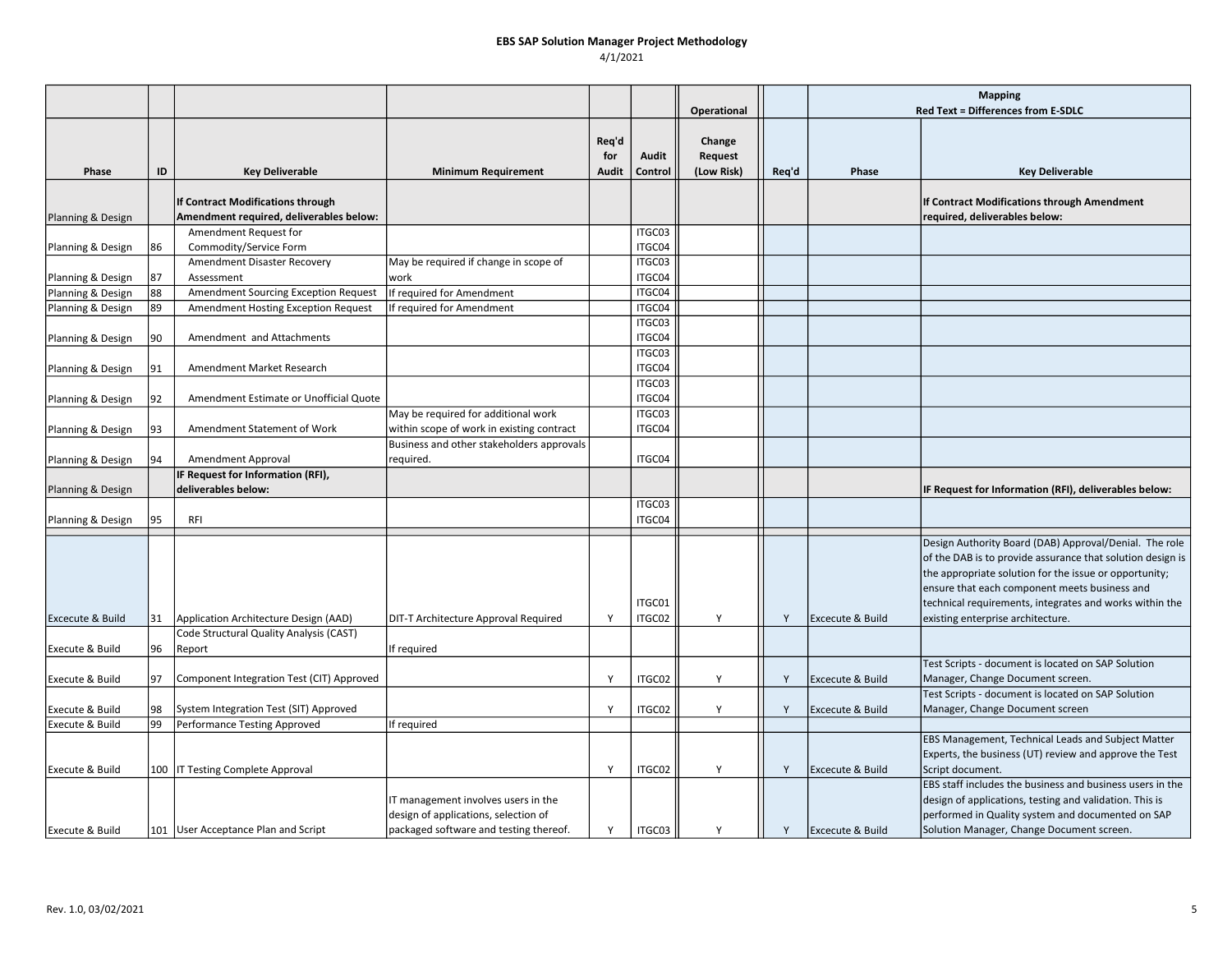### EBS SAP Solution Manager Project Methodology 4/1/2021

|                             |    |                                             |                                                                                                                       |                       |                  |                                 |       | <b>Mapping</b>              |                                                                                                                                                                                                                                                                                                                                 |
|-----------------------------|----|---------------------------------------------|-----------------------------------------------------------------------------------------------------------------------|-----------------------|------------------|---------------------------------|-------|-----------------------------|---------------------------------------------------------------------------------------------------------------------------------------------------------------------------------------------------------------------------------------------------------------------------------------------------------------------------------|
|                             |    |                                             |                                                                                                                       |                       |                  | Operational                     |       |                             | Red Text = Differences from E-SDLC                                                                                                                                                                                                                                                                                              |
| Phase                       | ID | <b>Key Deliverable</b>                      | <b>Minimum Requirement</b>                                                                                            | Req'd<br>for<br>Audit | Audit<br>Control | Change<br>Request<br>(Low Risk) | Req'd | Phase                       | <b>Key Deliverable</b>                                                                                                                                                                                                                                                                                                          |
|                             |    | If Contract Modifications through           |                                                                                                                       |                       |                  |                                 |       |                             | If Contract Modifications through Amendment                                                                                                                                                                                                                                                                                     |
| Planning & Design           |    | Amendment required, deliverables below:     |                                                                                                                       |                       |                  |                                 |       |                             | required, deliverables below:                                                                                                                                                                                                                                                                                                   |
|                             |    | Amendment Request for                       |                                                                                                                       |                       | ITGC03           |                                 |       |                             |                                                                                                                                                                                                                                                                                                                                 |
| Planning & Design           | 86 | Commodity/Service Form                      |                                                                                                                       |                       | ITGC04           |                                 |       |                             |                                                                                                                                                                                                                                                                                                                                 |
|                             |    | Amendment Disaster Recovery                 | May be required if change in scope of                                                                                 |                       | ITGC03           |                                 |       |                             |                                                                                                                                                                                                                                                                                                                                 |
| Planning & Design           | 87 | Assessment                                  | work                                                                                                                  |                       | ITGC04           |                                 |       |                             |                                                                                                                                                                                                                                                                                                                                 |
| Planning & Design           | 88 | <b>Amendment Sourcing Exception Request</b> | If required for Amendment                                                                                             |                       | ITGC04           |                                 |       |                             |                                                                                                                                                                                                                                                                                                                                 |
| Planning & Design           | 89 | Amendment Hosting Exception Request         | If required for Amendment                                                                                             |                       | ITGC04           |                                 |       |                             |                                                                                                                                                                                                                                                                                                                                 |
|                             |    |                                             |                                                                                                                       |                       | ITGC03           |                                 |       |                             |                                                                                                                                                                                                                                                                                                                                 |
| Planning & Design           | 90 | Amendment and Attachments                   |                                                                                                                       |                       | ITGC04           |                                 |       |                             |                                                                                                                                                                                                                                                                                                                                 |
|                             |    |                                             |                                                                                                                       |                       | ITGC03           |                                 |       |                             |                                                                                                                                                                                                                                                                                                                                 |
| Planning & Design           | 91 | Amendment Market Research                   |                                                                                                                       |                       | ITGC04           |                                 |       |                             |                                                                                                                                                                                                                                                                                                                                 |
|                             |    |                                             |                                                                                                                       |                       | ITGC03           |                                 |       |                             |                                                                                                                                                                                                                                                                                                                                 |
| Planning & Design           | 92 | Amendment Estimate or Unofficial Quote      |                                                                                                                       |                       | ITGC04           |                                 |       |                             |                                                                                                                                                                                                                                                                                                                                 |
|                             |    |                                             | May be required for additional work                                                                                   |                       | ITGC03           |                                 |       |                             |                                                                                                                                                                                                                                                                                                                                 |
| Planning & Design           | 93 | Amendment Statement of Work                 | within scope of work in existing contract                                                                             |                       | ITGC04           |                                 |       |                             |                                                                                                                                                                                                                                                                                                                                 |
| Planning & Design           | 94 | Amendment Approval                          | Business and other stakeholders approvals<br>required.                                                                |                       | ITGC04           |                                 |       |                             |                                                                                                                                                                                                                                                                                                                                 |
|                             |    | IF Request for Information (RFI),           |                                                                                                                       |                       |                  |                                 |       |                             |                                                                                                                                                                                                                                                                                                                                 |
| Planning & Design           |    | deliverables below:                         |                                                                                                                       |                       |                  |                                 |       |                             | IF Request for Information (RFI), deliverables below:                                                                                                                                                                                                                                                                           |
|                             |    |                                             |                                                                                                                       |                       | ITGC03           |                                 |       |                             |                                                                                                                                                                                                                                                                                                                                 |
| Planning & Design           | 95 | <b>RFI</b>                                  |                                                                                                                       |                       | ITGC04           |                                 |       |                             |                                                                                                                                                                                                                                                                                                                                 |
| <b>Excecute &amp; Build</b> | 31 | Application Architecture Design (AAD)       | DIT-T Architecture Approval Required                                                                                  | Y                     | ITGC01<br>ITGC02 | Y                               | Y     | Excecute & Build            | Design Authority Board (DAB) Approval/Denial. The role<br>of the DAB is to provide assurance that solution design is<br>the appropriate solution for the issue or opportunity;<br>ensure that each component meets business and<br>technical requirements, integrates and works within the<br>existing enterprise architecture. |
|                             |    | Code Structural Quality Analysis (CAST)     |                                                                                                                       |                       |                  |                                 |       |                             |                                                                                                                                                                                                                                                                                                                                 |
| Execute & Build             | 96 | Report                                      | If required                                                                                                           |                       |                  |                                 |       |                             |                                                                                                                                                                                                                                                                                                                                 |
| Execute & Build             | 97 | Component Integration Test (CIT) Approved   |                                                                                                                       | Y                     | ITGC02           | Y                               | Y     | Excecute & Build            | Test Scripts - document is located on SAP Solution<br>Manager, Change Document screen.                                                                                                                                                                                                                                          |
| Execute & Build             | 98 | System Integration Test (SIT) Approved      |                                                                                                                       | Y                     | ITGC02           | Y                               | Y     | Excecute & Build            | Test Scripts - document is located on SAP Solution<br>Manager, Change Document screen                                                                                                                                                                                                                                           |
| Execute & Build             | 99 | Performance Testing Approved                | If required                                                                                                           |                       |                  |                                 |       |                             |                                                                                                                                                                                                                                                                                                                                 |
| Execute & Build             |    | 100   IT Testing Complete Approval          |                                                                                                                       | Y                     | ITGC02           | Y                               | Y     | Excecute & Build            | EBS Management, Technical Leads and Subject Matter<br>Experts, the business (UT) review and approve the Test<br>Script document.                                                                                                                                                                                                |
| Execute & Build             |    | 101 User Acceptance Plan and Script         | IT management involves users in the<br>design of applications, selection of<br>packaged software and testing thereof. | Y                     | ITGC03           | Y                               | Y     | <b>Excecute &amp; Build</b> | EBS staff includes the business and business users in the<br>design of applications, testing and validation. This is<br>performed in Quality system and documented on SAP<br>Solution Manager, Change Document screen.                                                                                                          |